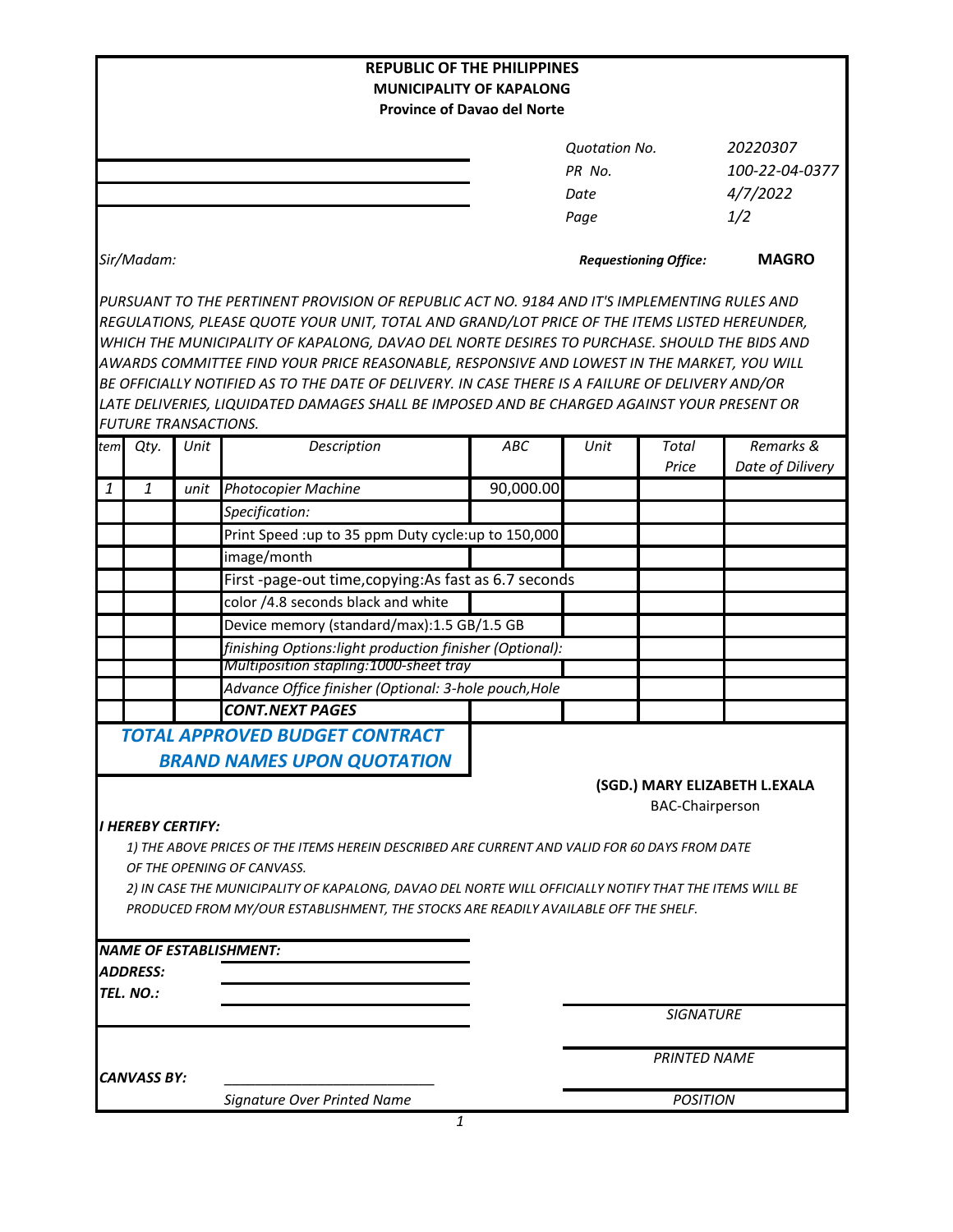|                                                                       |                             |      | <b>REPUBLIC OF THE PHILIPPINES</b>                                                                                                                                                            |                              |                     |                        |                               |  |  |  |
|-----------------------------------------------------------------------|-----------------------------|------|-----------------------------------------------------------------------------------------------------------------------------------------------------------------------------------------------|------------------------------|---------------------|------------------------|-------------------------------|--|--|--|
| <b>MUNICIPALITY OF KAPALONG</b><br><b>Province of Davao del Norte</b> |                             |      |                                                                                                                                                                                               |                              |                     |                        |                               |  |  |  |
|                                                                       |                             |      |                                                                                                                                                                                               |                              |                     |                        |                               |  |  |  |
|                                                                       |                             |      |                                                                                                                                                                                               |                              | Quotation No.       |                        | 20220307                      |  |  |  |
|                                                                       |                             |      |                                                                                                                                                                                               |                              | PR No.              |                        | 100-22-04-0377                |  |  |  |
|                                                                       |                             |      |                                                                                                                                                                                               |                              | Date                |                        | 4/7/2022                      |  |  |  |
|                                                                       |                             |      |                                                                                                                                                                                               |                              | Page                |                        | 1/2                           |  |  |  |
|                                                                       |                             |      |                                                                                                                                                                                               |                              |                     |                        |                               |  |  |  |
|                                                                       | Sir/Madam:                  |      |                                                                                                                                                                                               | <b>Requestioning Office:</b> |                     |                        | <b>MAGRO</b>                  |  |  |  |
|                                                                       |                             |      | PURSUANT TO THE PERTINENT PROVISION OF REPUBLIC ACT NO. 9184 AND IT'S IMPLEMENTING RULES AND                                                                                                  |                              |                     |                        |                               |  |  |  |
|                                                                       |                             |      | REGULATIONS, PLEASE QUOTE YOUR UNIT, TOTAL AND GRAND/LOT PRICE OF THE ITEMS LISTED HEREUNDER,                                                                                                 |                              |                     |                        |                               |  |  |  |
|                                                                       |                             |      | WHICH THE MUNICIPALITY OF KAPALONG, DAVAO DEL NORTE DESIRES TO PURCHASE. SHOULD THE BIDS AND                                                                                                  |                              |                     |                        |                               |  |  |  |
|                                                                       |                             |      | AWARDS COMMITTEE FIND YOUR PRICE REASONABLE, RESPONSIVE AND LOWEST IN THE MARKET, YOU WILL                                                                                                    |                              |                     |                        |                               |  |  |  |
|                                                                       |                             |      | BE OFFICIALLY NOTIFIED AS TO THE DATE OF DELIVERY. IN CASE THERE IS A FAILURE OF DELIVERY AND/OR                                                                                              |                              |                     |                        |                               |  |  |  |
|                                                                       |                             |      | LATE DELIVERIES, LIQUIDATED DAMAGES SHALL BE IMPOSED AND BE CHARGED AGAINST YOUR PRESENT OR                                                                                                   |                              |                     |                        |                               |  |  |  |
|                                                                       | <b>FUTURE TRANSACTIONS.</b> |      |                                                                                                                                                                                               |                              |                     |                        |                               |  |  |  |
| tem                                                                   | Qty.                        | Unit | Description                                                                                                                                                                                   | ABC                          | Unit                | Total<br>Price         | Remarks &<br>Date of Dilivery |  |  |  |
| $\mathbf{1}$                                                          | $\mathbf{1}$                | unit | <b>Photocopier Machine</b>                                                                                                                                                                    | 90,000.00                    |                     |                        |                               |  |  |  |
|                                                                       |                             |      | Specification:                                                                                                                                                                                |                              |                     |                        |                               |  |  |  |
|                                                                       |                             |      | Print Speed :up to 35 ppm Duty cycle:up to 150,000                                                                                                                                            |                              |                     |                        |                               |  |  |  |
|                                                                       |                             |      | image/month                                                                                                                                                                                   |                              |                     |                        |                               |  |  |  |
|                                                                       |                             |      | First-page-out time, copying: As fast as 6.7 seconds                                                                                                                                          |                              |                     |                        |                               |  |  |  |
|                                                                       |                             |      | color /4.8 seconds black and white                                                                                                                                                            |                              |                     |                        |                               |  |  |  |
|                                                                       |                             |      | Device memory (standard/max):1.5 GB/1.5 GB                                                                                                                                                    |                              |                     |                        |                               |  |  |  |
|                                                                       |                             |      | finishing Options:light production finisher (Optional):                                                                                                                                       |                              |                     |                        |                               |  |  |  |
|                                                                       |                             |      | Multiposition stapling:1000-sheet tray                                                                                                                                                        |                              |                     |                        |                               |  |  |  |
|                                                                       |                             |      | Advance Office finisher (Optional: 3-hole pouch, Hole                                                                                                                                         |                              |                     |                        |                               |  |  |  |
|                                                                       |                             |      | <b>CONT.NEXT PAGES</b>                                                                                                                                                                        |                              |                     |                        |                               |  |  |  |
|                                                                       |                             |      | <b>TOTAL APPROVED BUDGET CONTRACT</b>                                                                                                                                                         |                              |                     |                        |                               |  |  |  |
|                                                                       |                             |      | <b>BRAND NAMES UPON QUOTATION</b>                                                                                                                                                             |                              |                     |                        |                               |  |  |  |
|                                                                       |                             |      |                                                                                                                                                                                               |                              |                     |                        | (SGD.) MARY ELIZABETH L.EXALA |  |  |  |
|                                                                       |                             |      |                                                                                                                                                                                               |                              |                     | <b>BAC-Chairperson</b> |                               |  |  |  |
|                                                                       | II HEREBY CERTIFY:          |      |                                                                                                                                                                                               |                              |                     |                        |                               |  |  |  |
|                                                                       |                             |      | 1) THE ABOVE PRICES OF THE ITEMS HEREIN DESCRIBED ARE CURRENT AND VALID FOR 60 DAYS FROM DATE                                                                                                 |                              |                     |                        |                               |  |  |  |
|                                                                       |                             |      | OF THE OPENING OF CANVASS.                                                                                                                                                                    |                              |                     |                        |                               |  |  |  |
|                                                                       |                             |      | 2) IN CASE THE MUNICIPALITY OF KAPALONG, DAVAO DEL NORTE WILL OFFICIALLY NOTIFY THAT THE ITEMS WILL BE<br>PRODUCED FROM MY/OUR ESTABLISHMENT, THE STOCKS ARE READILY AVAILABLE OFF THE SHELF. |                              |                     |                        |                               |  |  |  |
|                                                                       |                             |      |                                                                                                                                                                                               |                              |                     |                        |                               |  |  |  |
|                                                                       |                             |      | <b>NAME OF ESTABLISHMENT:</b>                                                                                                                                                                 |                              |                     |                        |                               |  |  |  |
|                                                                       | ADDRESS:                    |      |                                                                                                                                                                                               |                              |                     |                        |                               |  |  |  |
|                                                                       | TEL. NO.:                   |      |                                                                                                                                                                                               |                              |                     |                        |                               |  |  |  |
|                                                                       |                             |      |                                                                                                                                                                                               |                              |                     | <b>SIGNATURE</b>       |                               |  |  |  |
|                                                                       |                             |      |                                                                                                                                                                                               |                              |                     |                        |                               |  |  |  |
|                                                                       |                             |      |                                                                                                                                                                                               |                              | <b>PRINTED NAME</b> |                        |                               |  |  |  |
|                                                                       | CANVASS BY:                 |      |                                                                                                                                                                                               |                              |                     |                        |                               |  |  |  |
|                                                                       |                             |      | Signature Over Printed Name                                                                                                                                                                   |                              | <b>POSITION</b>     |                        |                               |  |  |  |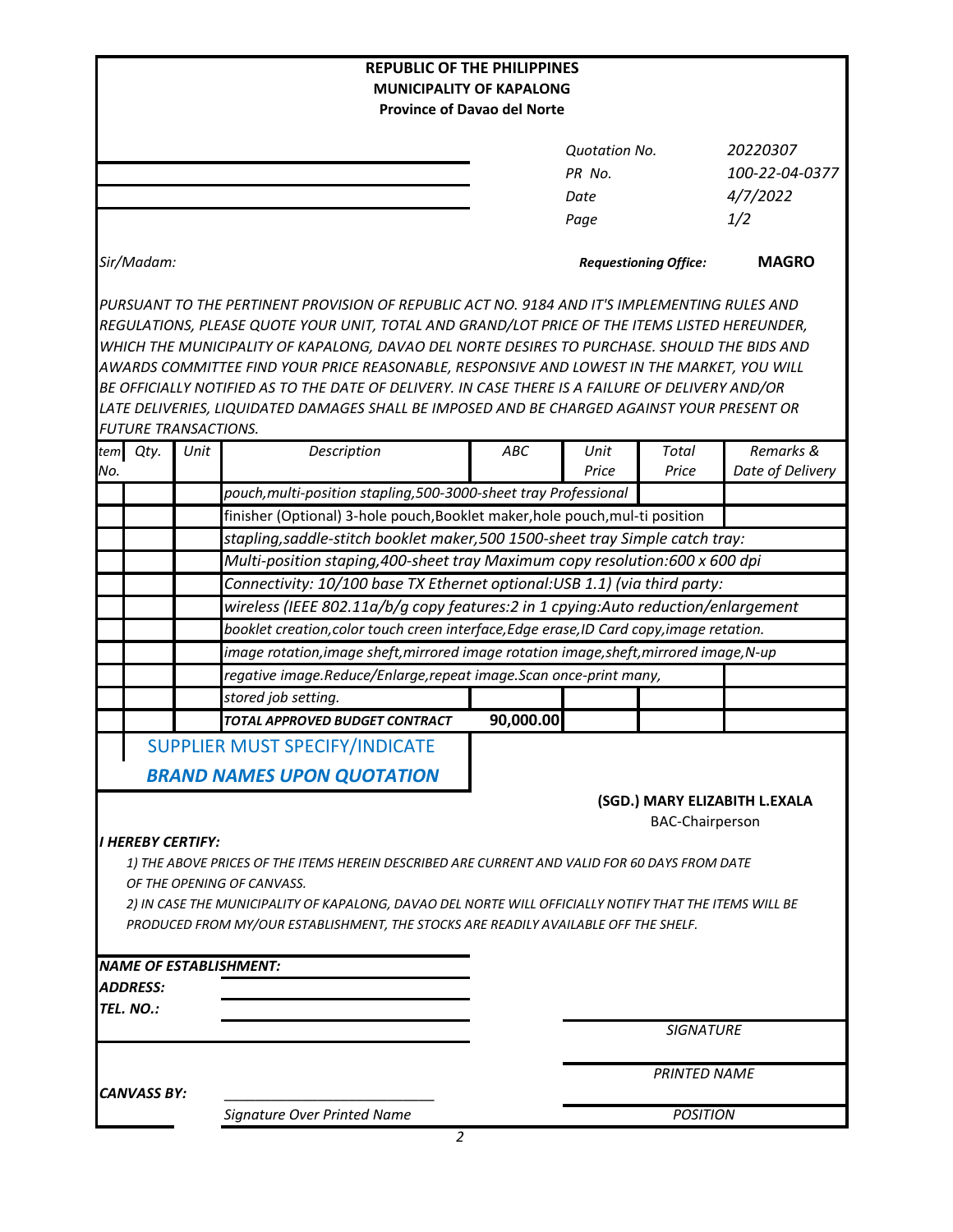| <b>REPUBLIC OF THE PHILIPPINES</b>                                                            |      |                                                                                                                                                                                     |                                                                                              |                      |                              |                               |  |  |  |  |
|-----------------------------------------------------------------------------------------------|------|-------------------------------------------------------------------------------------------------------------------------------------------------------------------------------------|----------------------------------------------------------------------------------------------|----------------------|------------------------------|-------------------------------|--|--|--|--|
| <b>MUNICIPALITY OF KAPALONG</b><br><b>Province of Davao del Norte</b>                         |      |                                                                                                                                                                                     |                                                                                              |                      |                              |                               |  |  |  |  |
|                                                                                               |      |                                                                                                                                                                                     |                                                                                              |                      |                              |                               |  |  |  |  |
|                                                                                               |      |                                                                                                                                                                                     |                                                                                              | <b>Quotation No.</b> |                              | 20220307                      |  |  |  |  |
|                                                                                               |      |                                                                                                                                                                                     | PR No.                                                                                       |                      |                              | 100-22-04-0377                |  |  |  |  |
|                                                                                               |      |                                                                                                                                                                                     |                                                                                              | Date                 |                              | 4/7/2022                      |  |  |  |  |
|                                                                                               |      |                                                                                                                                                                                     |                                                                                              | Page                 |                              | 1/2                           |  |  |  |  |
|                                                                                               |      |                                                                                                                                                                                     |                                                                                              |                      |                              |                               |  |  |  |  |
| Sir/Madam:                                                                                    |      |                                                                                                                                                                                     |                                                                                              |                      | <b>Requestioning Office:</b> | <b>MAGRO</b>                  |  |  |  |  |
|                                                                                               |      |                                                                                                                                                                                     | PURSUANT TO THE PERTINENT PROVISION OF REPUBLIC ACT NO. 9184 AND IT'S IMPLEMENTING RULES AND |                      |                              |                               |  |  |  |  |
| REGULATIONS, PLEASE QUOTE YOUR UNIT, TOTAL AND GRAND/LOT PRICE OF THE ITEMS LISTED HEREUNDER, |      |                                                                                                                                                                                     |                                                                                              |                      |                              |                               |  |  |  |  |
|                                                                                               |      | WHICH THE MUNICIPALITY OF KAPALONG, DAVAO DEL NORTE DESIRES TO PURCHASE. SHOULD THE BIDS AND                                                                                        |                                                                                              |                      |                              |                               |  |  |  |  |
|                                                                                               |      | AWARDS COMMITTEE FIND YOUR PRICE REASONABLE, RESPONSIVE AND LOWEST IN THE MARKET, YOU WILL                                                                                          |                                                                                              |                      |                              |                               |  |  |  |  |
|                                                                                               |      | BE OFFICIALLY NOTIFIED AS TO THE DATE OF DELIVERY. IN CASE THERE IS A FAILURE OF DELIVERY AND/OR                                                                                    |                                                                                              |                      |                              |                               |  |  |  |  |
|                                                                                               |      | LATE DELIVERIES, LIQUIDATED DAMAGES SHALL BE IMPOSED AND BE CHARGED AGAINST YOUR PRESENT OR                                                                                         |                                                                                              |                      |                              |                               |  |  |  |  |
| <b>FUTURE TRANSACTIONS.</b>                                                                   |      |                                                                                                                                                                                     |                                                                                              |                      |                              |                               |  |  |  |  |
| tem Qty.                                                                                      | Unit | Description                                                                                                                                                                         | ABC                                                                                          | Unit<br>Price        | Total<br>Price               | Remarks &<br>Date of Delivery |  |  |  |  |
| No.                                                                                           |      | pouch, multi-position stapling, 500-3000-sheet tray Professional                                                                                                                    |                                                                                              |                      |                              |                               |  |  |  |  |
|                                                                                               |      | finisher (Optional) 3-hole pouch, Booklet maker, hole pouch, mul-ti position                                                                                                        |                                                                                              |                      |                              |                               |  |  |  |  |
|                                                                                               |      |                                                                                                                                                                                     |                                                                                              |                      |                              |                               |  |  |  |  |
|                                                                                               |      | stapling, saddle-stitch booklet maker, 500 1500-sheet tray Simple catch tray:                                                                                                       |                                                                                              |                      |                              |                               |  |  |  |  |
|                                                                                               |      | Multi-position staping,400-sheet tray Maximum copy resolution:600 x 600 dpi                                                                                                         |                                                                                              |                      |                              |                               |  |  |  |  |
|                                                                                               |      | Connectivity: 10/100 base TX Ethernet optional:USB 1.1) (via third party:<br>wireless (IEEE 802.11a/b/g copy features:2 in 1 cpying:Auto reduction/enlargement                      |                                                                                              |                      |                              |                               |  |  |  |  |
|                                                                                               |      |                                                                                                                                                                                     |                                                                                              |                      |                              |                               |  |  |  |  |
|                                                                                               |      | booklet creation, color touch creen interface, Edge erase, ID Card copy, image retation.<br>image rotation, image sheft, mirrored image rotation image, sheft, mirrored image, N-up |                                                                                              |                      |                              |                               |  |  |  |  |
|                                                                                               |      |                                                                                                                                                                                     |                                                                                              |                      |                              |                               |  |  |  |  |
|                                                                                               |      | regative image.Reduce/Enlarge,repeat image.Scan once-print many,                                                                                                                    |                                                                                              |                      |                              |                               |  |  |  |  |
|                                                                                               |      | stored job setting.                                                                                                                                                                 |                                                                                              |                      |                              |                               |  |  |  |  |
|                                                                                               |      | <b>TOTAL APPROVED BUDGET CONTRACT</b>                                                                                                                                               | 90,000.00                                                                                    |                      |                              |                               |  |  |  |  |
|                                                                                               |      | SUPPLIER MUST SPECIFY/INDICATE                                                                                                                                                      |                                                                                              |                      |                              |                               |  |  |  |  |
|                                                                                               |      | <b>BRAND NAMES UPON QUOTATION</b>                                                                                                                                                   |                                                                                              |                      |                              |                               |  |  |  |  |
|                                                                                               |      |                                                                                                                                                                                     |                                                                                              |                      |                              | (SGD.) MARY ELIZABITH L.EXALA |  |  |  |  |
|                                                                                               |      |                                                                                                                                                                                     |                                                                                              |                      | <b>BAC-Chairperson</b>       |                               |  |  |  |  |
| I HEREBY CERTIFY:                                                                             |      |                                                                                                                                                                                     |                                                                                              |                      |                              |                               |  |  |  |  |
|                                                                                               |      | 1) THE ABOVE PRICES OF THE ITEMS HEREIN DESCRIBED ARE CURRENT AND VALID FOR 60 DAYS FROM DATE                                                                                       |                                                                                              |                      |                              |                               |  |  |  |  |
|                                                                                               |      | OF THE OPENING OF CANVASS.                                                                                                                                                          |                                                                                              |                      |                              |                               |  |  |  |  |
|                                                                                               |      | 2) IN CASE THE MUNICIPALITY OF KAPALONG, DAVAO DEL NORTE WILL OFFICIALLY NOTIFY THAT THE ITEMS WILL BE                                                                              |                                                                                              |                      |                              |                               |  |  |  |  |
|                                                                                               |      | PRODUCED FROM MY/OUR ESTABLISHMENT, THE STOCKS ARE READILY AVAILABLE OFF THE SHELF.                                                                                                 |                                                                                              |                      |                              |                               |  |  |  |  |
|                                                                                               |      |                                                                                                                                                                                     |                                                                                              |                      |                              |                               |  |  |  |  |
| <i><b>ADDRESS:</b></i>                                                                        |      | <b>NAME OF ESTABLISHMENT:</b>                                                                                                                                                       |                                                                                              |                      |                              |                               |  |  |  |  |
|                                                                                               |      |                                                                                                                                                                                     |                                                                                              |                      |                              |                               |  |  |  |  |
| TEL. NO.:                                                                                     |      |                                                                                                                                                                                     |                                                                                              |                      | <b>SIGNATURE</b>             |                               |  |  |  |  |
|                                                                                               |      |                                                                                                                                                                                     |                                                                                              |                      |                              |                               |  |  |  |  |
|                                                                                               |      |                                                                                                                                                                                     |                                                                                              |                      | <b>PRINTED NAME</b>          |                               |  |  |  |  |
| <b>CANVASS BY:</b>                                                                            |      |                                                                                                                                                                                     |                                                                                              |                      |                              |                               |  |  |  |  |
|                                                                                               |      | Signature Over Printed Name                                                                                                                                                         |                                                                                              | <b>POSITION</b>      |                              |                               |  |  |  |  |
|                                                                                               |      |                                                                                                                                                                                     |                                                                                              |                      |                              |                               |  |  |  |  |